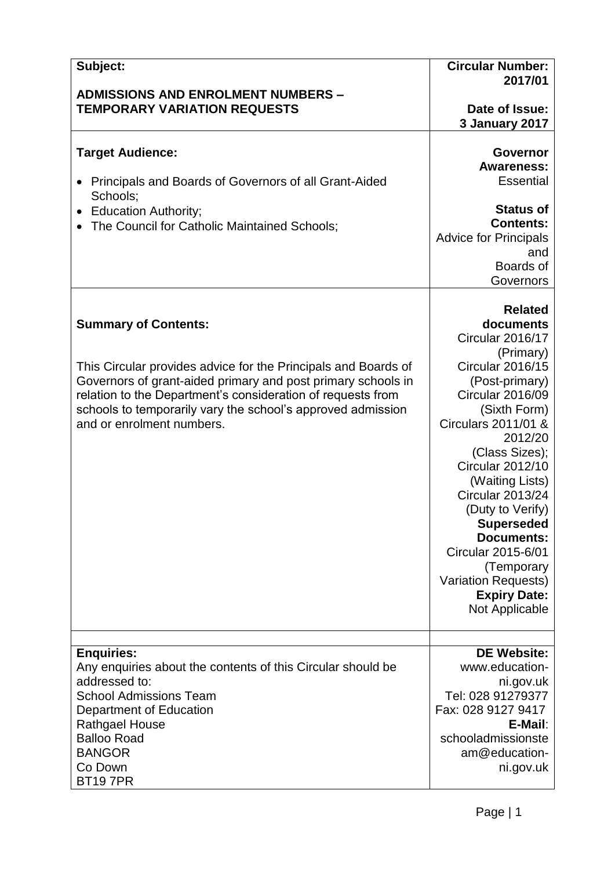| Subject:                                                                                                                       | <b>Circular Number:</b><br>2017/01        |
|--------------------------------------------------------------------------------------------------------------------------------|-------------------------------------------|
| <b>ADMISSIONS AND ENROLMENT NUMBERS -</b>                                                                                      |                                           |
| <b>TEMPORARY VARIATION REQUESTS</b>                                                                                            | Date of Issue:                            |
|                                                                                                                                | <b>3 January 2017</b>                     |
| <b>Target Audience:</b>                                                                                                        | Governor                                  |
|                                                                                                                                | <b>Awareness:</b>                         |
| Principals and Boards of Governors of all Grant-Aided                                                                          | <b>Essential</b>                          |
| Schools:<br><b>Education Authority;</b>                                                                                        | <b>Status of</b>                          |
| The Council for Catholic Maintained Schools;                                                                                   | <b>Contents:</b>                          |
|                                                                                                                                | <b>Advice for Principals</b>              |
|                                                                                                                                | and                                       |
|                                                                                                                                | Boards of                                 |
|                                                                                                                                | Governors                                 |
|                                                                                                                                | <b>Related</b>                            |
| <b>Summary of Contents:</b>                                                                                                    | documents                                 |
|                                                                                                                                | Circular 2016/17                          |
|                                                                                                                                | (Primary)                                 |
| This Circular provides advice for the Principals and Boards of<br>Governors of grant-aided primary and post primary schools in | <b>Circular 2016/15</b><br>(Post-primary) |
| relation to the Department's consideration of requests from                                                                    | Circular 2016/09                          |
| schools to temporarily vary the school's approved admission                                                                    | (Sixth Form)                              |
| and or enrolment numbers.                                                                                                      | Circulars 2011/01 &                       |
|                                                                                                                                | 2012/20                                   |
|                                                                                                                                | (Class Sizes);<br><b>Circular 2012/10</b> |
|                                                                                                                                | (Waiting Lists)                           |
|                                                                                                                                | <b>Circular 2013/24</b>                   |
|                                                                                                                                | (Duty to Verify)                          |
|                                                                                                                                | <b>Superseded</b>                         |
|                                                                                                                                | <b>Documents:</b>                         |
|                                                                                                                                | Circular 2015-6/01<br>(Temporary          |
|                                                                                                                                | <b>Variation Requests)</b>                |
|                                                                                                                                | <b>Expiry Date:</b>                       |
|                                                                                                                                | Not Applicable                            |
|                                                                                                                                |                                           |
| <b>Enquiries:</b>                                                                                                              | <b>DE Website:</b>                        |
| Any enquiries about the contents of this Circular should be                                                                    | www.education-                            |
| addressed to:                                                                                                                  | ni.gov.uk                                 |
| <b>School Admissions Team</b>                                                                                                  | Tel: 028 91279377                         |
| Department of Education                                                                                                        | Fax: 028 9127 9417                        |
| <b>Rathgael House</b><br><b>Balloo Road</b>                                                                                    | E-Mail:                                   |
| <b>BANGOR</b>                                                                                                                  | schooladmissionste<br>am@education-       |
| Co Down                                                                                                                        | ni.gov.uk                                 |
| <b>BT197PR</b>                                                                                                                 |                                           |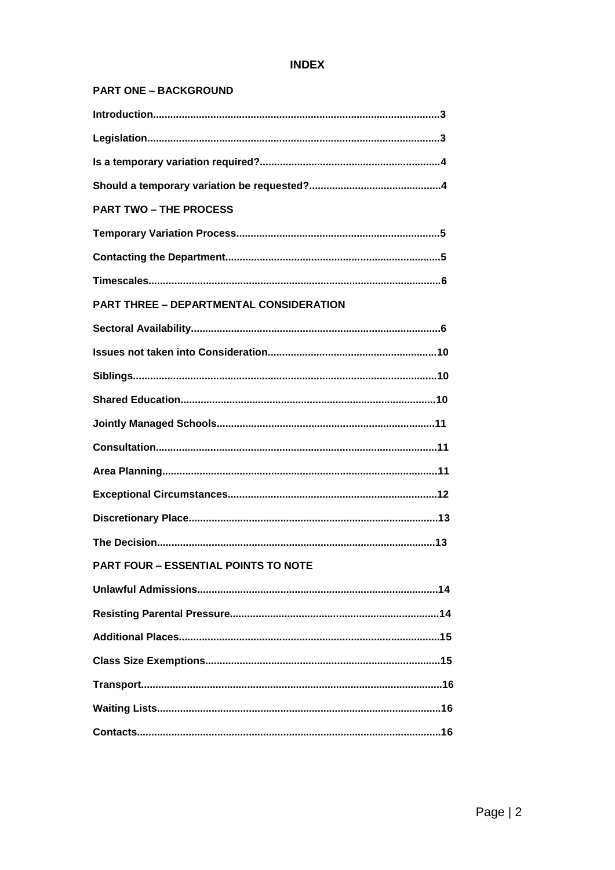# **INDEX**

#### **PART ONE - BACKGROUND**

| <b>PART TWO - THE PROCESS</b>                  |
|------------------------------------------------|
|                                                |
|                                                |
|                                                |
| <b>PART THREE - DEPARTMENTAL CONSIDERATION</b> |
|                                                |
|                                                |
|                                                |
|                                                |
|                                                |
|                                                |
|                                                |
|                                                |
|                                                |
|                                                |
| <b>PART FOUR - ESSENTIAL POINTS TO NOTE</b>    |
|                                                |
|                                                |
|                                                |
|                                                |
|                                                |
|                                                |
|                                                |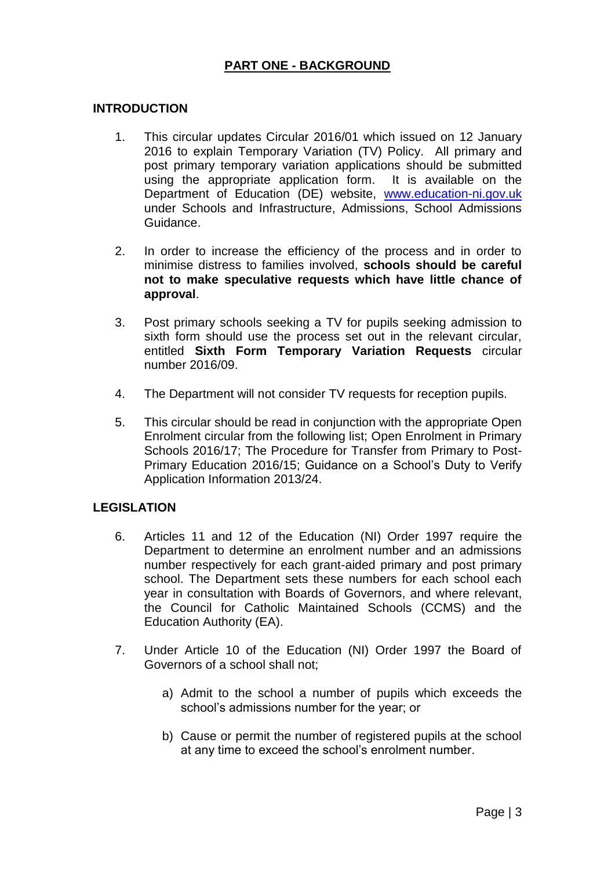# **PART ONE - BACKGROUND**

#### **INTRODUCTION**

- 1. This circular updates Circular 2016/01 which issued on 12 January 2016 to explain Temporary Variation (TV) Policy. All primary and post primary temporary variation applications should be submitted using the appropriate application form. It is available on the Department of Education (DE) website, [www.education-ni.gov.uk](http://www.education-ni.gov.uk/) under Schools and Infrastructure, Admissions, School Admissions Guidance.
- 2. In order to increase the efficiency of the process and in order to minimise distress to families involved, **schools should be careful not to make speculative requests which have little chance of approval**.
- 3. Post primary schools seeking a TV for pupils seeking admission to sixth form should use the process set out in the relevant circular, entitled **Sixth Form Temporary Variation Requests** circular number 2016/09.
- 4. The Department will not consider TV requests for reception pupils.
- 5. This circular should be read in conjunction with the appropriate Open Enrolment circular from the following list; Open Enrolment in Primary Schools 2016/17; The Procedure for Transfer from Primary to Post-Primary Education 2016/15; Guidance on a School's Duty to Verify Application Information 2013/24.

#### **LEGISLATION**

- 6. Articles 11 and 12 of the Education (NI) Order 1997 require the Department to determine an enrolment number and an admissions number respectively for each grant-aided primary and post primary school. The Department sets these numbers for each school each year in consultation with Boards of Governors, and where relevant, the Council for Catholic Maintained Schools (CCMS) and the Education Authority (EA).
- 7. Under Article 10 of the Education (NI) Order 1997 the Board of Governors of a school shall not;
	- a) Admit to the school a number of pupils which exceeds the school's admissions number for the year; or
	- b) Cause or permit the number of registered pupils at the school at any time to exceed the school's enrolment number.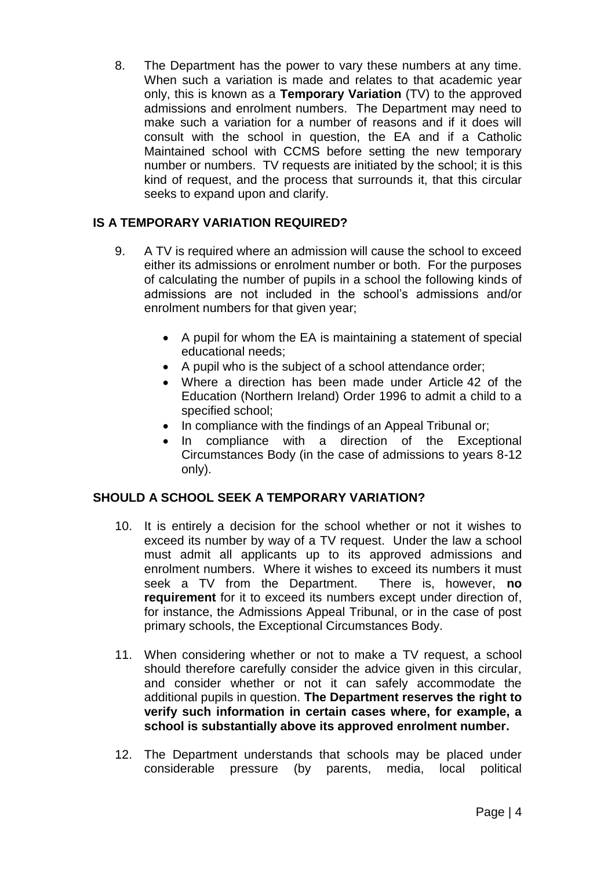8. The Department has the power to vary these numbers at any time. When such a variation is made and relates to that academic year only, this is known as a **Temporary Variation** (TV) to the approved admissions and enrolment numbers. The Department may need to make such a variation for a number of reasons and if it does will consult with the school in question, the EA and if a Catholic Maintained school with CCMS before setting the new temporary number or numbers. TV requests are initiated by the school; it is this kind of request, and the process that surrounds it, that this circular seeks to expand upon and clarify.

# **IS A TEMPORARY VARIATION REQUIRED?**

- 9. A TV is required where an admission will cause the school to exceed either its admissions or enrolment number or both. For the purposes of calculating the number of pupils in a school the following kinds of admissions are not included in the school's admissions and/or enrolment numbers for that given year;
	- A pupil for whom the EA is maintaining a statement of special educational needs;
	- A pupil who is the subject of a school attendance order;
	- Where a direction has been made under Article 42 of the Education (Northern Ireland) Order 1996 to admit a child to a specified school;
	- In compliance with the findings of an Appeal Tribunal or;
	- In compliance with a direction of the Exceptional Circumstances Body (in the case of admissions to years 8-12 only).

# **SHOULD A SCHOOL SEEK A TEMPORARY VARIATION?**

- 10. It is entirely a decision for the school whether or not it wishes to exceed its number by way of a TV request. Under the law a school must admit all applicants up to its approved admissions and enrolment numbers. Where it wishes to exceed its numbers it must seek a TV from the Department. There is, however, **no requirement** for it to exceed its numbers except under direction of, for instance, the Admissions Appeal Tribunal, or in the case of post primary schools, the Exceptional Circumstances Body.
- 11. When considering whether or not to make a TV request, a school should therefore carefully consider the advice given in this circular, and consider whether or not it can safely accommodate the additional pupils in question. **The Department reserves the right to verify such information in certain cases where, for example, a school is substantially above its approved enrolment number.**
- 12. The Department understands that schools may be placed under considerable pressure (by parents, media, local political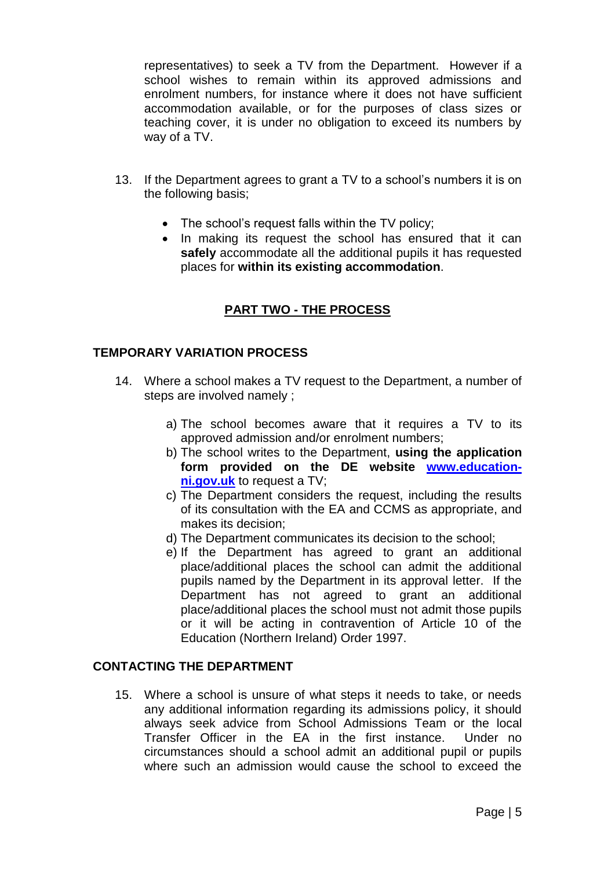representatives) to seek a TV from the Department. However if a school wishes to remain within its approved admissions and enrolment numbers, for instance where it does not have sufficient accommodation available, or for the purposes of class sizes or teaching cover, it is under no obligation to exceed its numbers by way of a TV.

- 13. If the Department agrees to grant a TV to a school's numbers it is on the following basis;
	- The school's request falls within the TV policy;
	- In making its request the school has ensured that it can **safely** accommodate all the additional pupils it has requested places for **within its existing accommodation**.

# **PART TWO - THE PROCESS**

#### **TEMPORARY VARIATION PROCESS**

- 14. Where a school makes a TV request to the Department, a number of steps are involved namely ;
	- a) The school becomes aware that it requires a TV to its approved admission and/or enrolment numbers;
	- b) The school writes to the Department, **using the application form provided on the DE website [www.education](http://www.education-ni.gov.uk/)[ni.gov.uk](http://www.education-ni.gov.uk/)** to request a TV;
	- c) The Department considers the request, including the results of its consultation with the EA and CCMS as appropriate, and makes its decision;
	- d) The Department communicates its decision to the school;
	- e) If the Department has agreed to grant an additional place/additional places the school can admit the additional pupils named by the Department in its approval letter. If the Department has not agreed to grant an additional place/additional places the school must not admit those pupils or it will be acting in contravention of Article 10 of the Education (Northern Ireland) Order 1997.

#### **CONTACTING THE DEPARTMENT**

15. Where a school is unsure of what steps it needs to take, or needs any additional information regarding its admissions policy, it should always seek advice from School Admissions Team or the local Transfer Officer in the EA in the first instance. Under no circumstances should a school admit an additional pupil or pupils where such an admission would cause the school to exceed the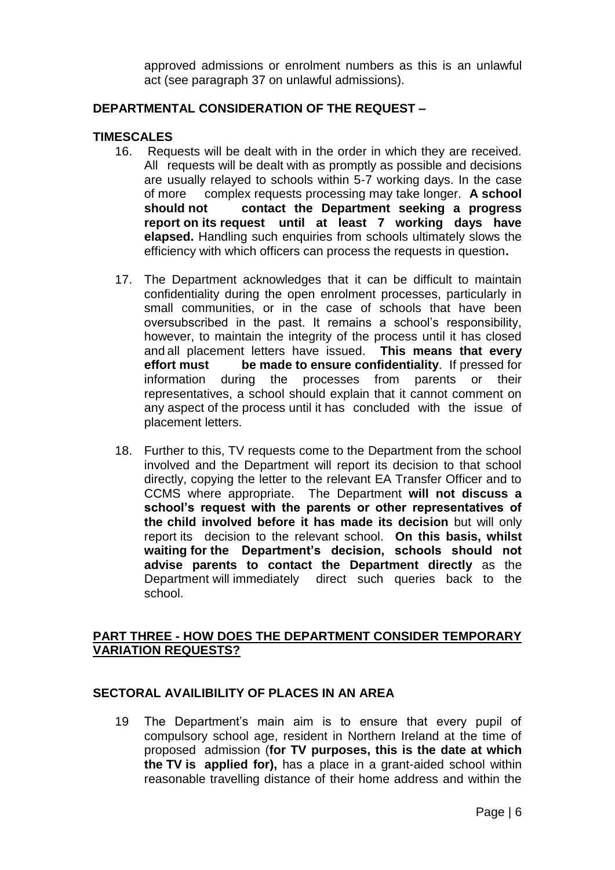approved admissions or enrolment numbers as this is an unlawful act (see paragraph 37 on unlawful admissions).

#### **DEPARTMENTAL CONSIDERATION OF THE REQUEST –**

#### **TIMESCALES**

- 16. Requests will be dealt with in the order in which they are received. All requests will be dealt with as promptly as possible and decisions are usually relayed to schools within 5-7 working days. In the case of more complex requests processing may take longer. **A school should not contact the Department seeking a progress report on its request until at least 7 working days have elapsed.** Handling such enquiries from schools ultimately slows the efficiency with which officers can process the requests in question**.**
- 17. The Department acknowledges that it can be difficult to maintain confidentiality during the open enrolment processes, particularly in small communities, or in the case of schools that have been oversubscribed in the past. It remains a school's responsibility, however, to maintain the integrity of the process until it has closed and all placement letters have issued. **This means that every effort must be made to ensure confidentiality**. If pressed for information during the processes from parents or their representatives, a school should explain that it cannot comment on any aspect of the process until it has concluded with the issue of placement letters.
- 18. Further to this, TV requests come to the Department from the school involved and the Department will report its decision to that school directly, copying the letter to the relevant EA Transfer Officer and to CCMS where appropriate. The Department **will not discuss a school's request with the parents or other representatives of the child involved before it has made its decision** but will only report its decision to the relevant school. **On this basis, whilst waiting for the Department's decision, schools should not advise parents to contact the Department directly** as the Department will immediately direct such queries back to the school.

#### **PART THREE - HOW DOES THE DEPARTMENT CONSIDER TEMPORARY VARIATION REQUESTS?**

#### **SECTORAL AVAILIBILITY OF PLACES IN AN AREA**

19 The Department's main aim is to ensure that every pupil of compulsory school age, resident in Northern Ireland at the time of proposed admission (**for TV purposes, this is the date at which the TV is applied for),** has a place in a grant-aided school within reasonable travelling distance of their home address and within the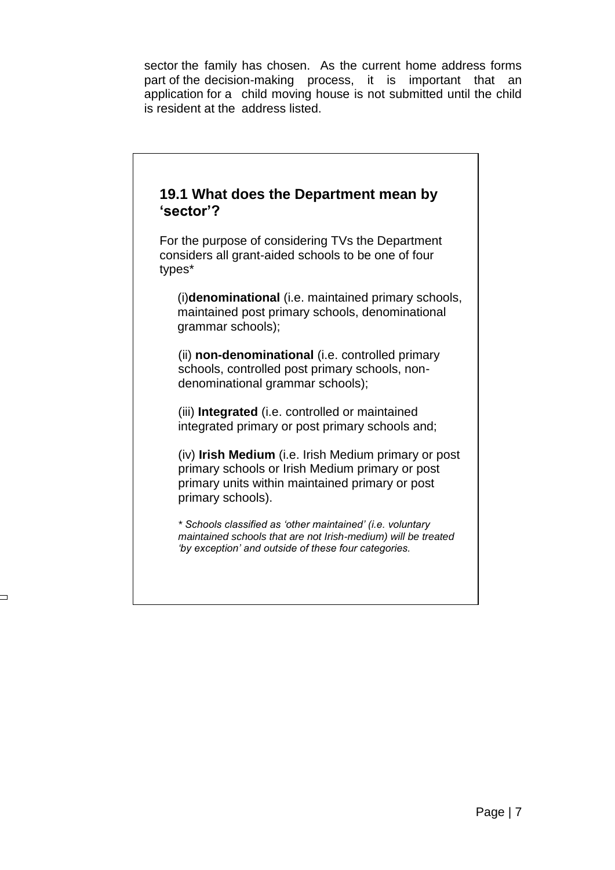sector the family has chosen. As the current home address forms part of the decision-making process, it is important that an application for a child moving house is not submitted until the child is resident at the address listed.

# **19.1 What does the Department mean by 'sector'?** For the purpose of considering TVs the Department considers all grant-aided schools to be one of four types\* (i)**denominational** (i.e. maintained primary schools, maintained post primary schools, denominational grammar schools); (ii) **non-denominational** (i.e. controlled primary schools, controlled post primary schools, nondenominational grammar schools); (iii) **Integrated** (i.e. controlled or maintained integrated primary or post primary schools and; (iv) **Irish Medium** (i.e. Irish Medium primary or post primary schools or Irish Medium primary or post primary units within maintained primary or post primary schools). *\* Schools classified as 'other maintained' (i.e. voluntary maintained schools that are not Irish-medium) will be treated 'by exception' and outside of these four categories.*

 $\overline{\phantom{0}}$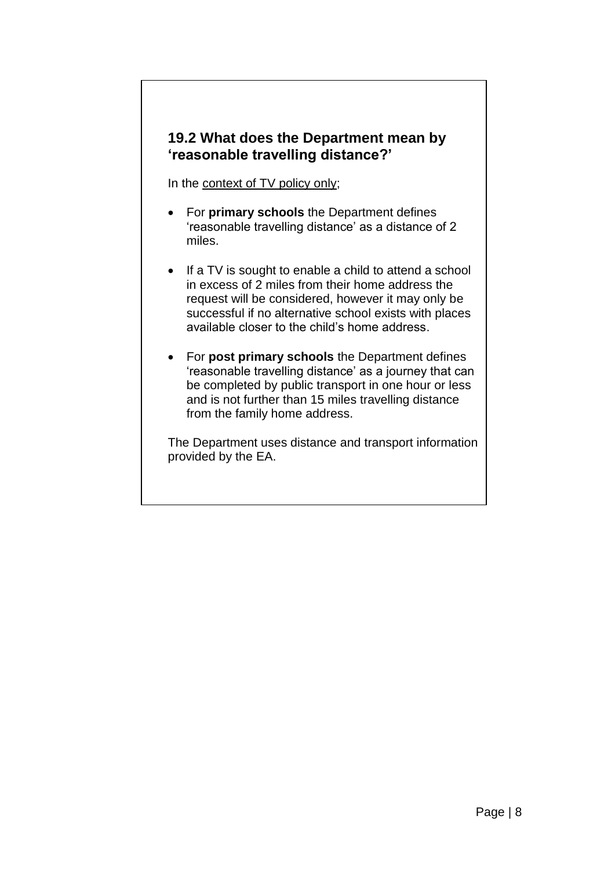# **19.2 What does the Department mean by 'reasonable travelling distance?'**

In the context of TV policy only;

- For **primary schools** the Department defines 'reasonable travelling distance' as a distance of 2 miles.
- If a TV is sought to enable a child to attend a school in excess of 2 miles from their home address the request will be considered, however it may only be successful if no alternative school exists with places available closer to the child's home address.
- For **post primary schools** the Department defines 'reasonable travelling distance' as a journey that can be completed by public transport in one hour or less and is not further than 15 miles travelling distance from the family home address.

The Department uses distance and transport information provided by the EA.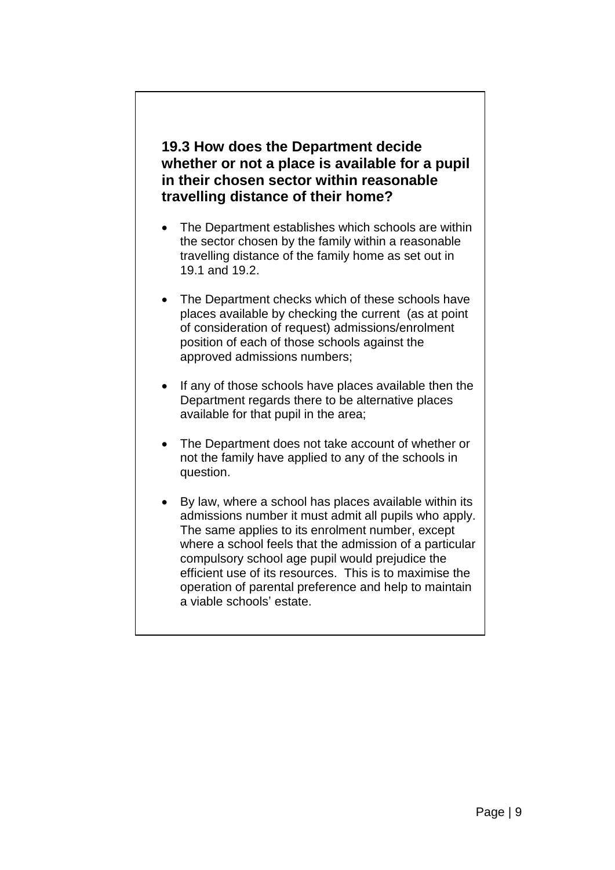# **19.3 How does the Department decide whether or not a place is available for a pupil in their chosen sector within reasonable travelling distance of their home?**

- The Department establishes which schools are within the sector chosen by the family within a reasonable travelling distance of the family home as set out in 19.1 and 19.2.
- The Department checks which of these schools have places available by checking the current (as at point of consideration of request) admissions/enrolment position of each of those schools against the approved admissions numbers;
- If any of those schools have places available then the Department regards there to be alternative places available for that pupil in the area;
- The Department does not take account of whether or not the family have applied to any of the schools in question.
- By law, where a school has places available within its admissions number it must admit all pupils who apply. The same applies to its enrolment number, except where a school feels that the admission of a particular compulsory school age pupil would prejudice the efficient use of its resources. This is to maximise the operation of parental preference and help to maintain a viable schools' estate.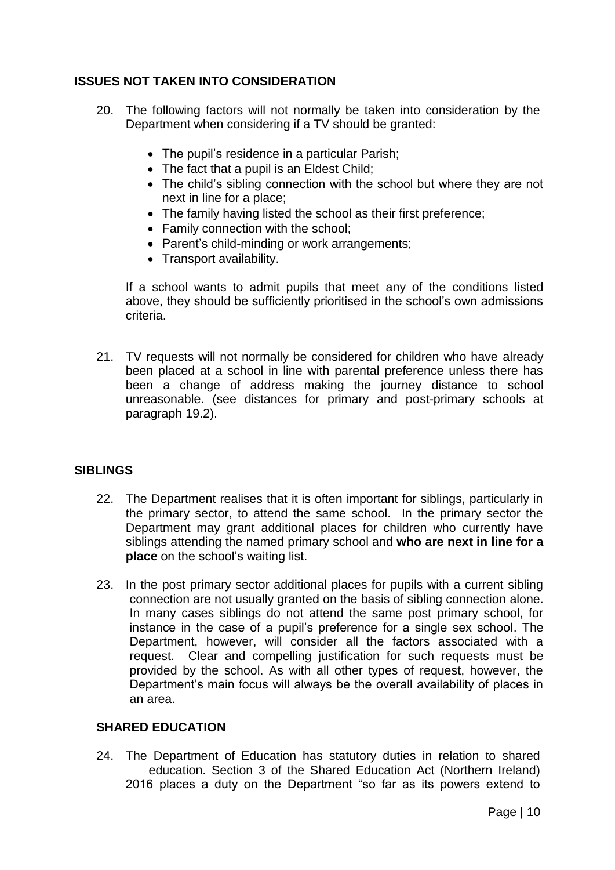# **ISSUES NOT TAKEN INTO CONSIDERATION**

- 20. The following factors will not normally be taken into consideration by the Department when considering if a TV should be granted:
	- The pupil's residence in a particular Parish;
	- The fact that a pupil is an Eldest Child:
	- The child's sibling connection with the school but where they are not next in line for a place;
	- The family having listed the school as their first preference;
	- Family connection with the school:
	- Parent's child-minding or work arrangements:
	- Transport availability.

If a school wants to admit pupils that meet any of the conditions listed above, they should be sufficiently prioritised in the school's own admissions criteria.

21. TV requests will not normally be considered for children who have already been placed at a school in line with parental preference unless there has been a change of address making the journey distance to school unreasonable. (see distances for primary and post-primary schools at paragraph 19.2).

#### **SIBLINGS**

- 22. The Department realises that it is often important for siblings, particularly in the primary sector, to attend the same school. In the primary sector the Department may grant additional places for children who currently have siblings attending the named primary school and **who are next in line for a place** on the school's waiting list.
- 23. In the post primary sector additional places for pupils with a current sibling connection are not usually granted on the basis of sibling connection alone. In many cases siblings do not attend the same post primary school, for instance in the case of a pupil's preference for a single sex school. The Department, however, will consider all the factors associated with a request. Clear and compelling justification for such requests must be provided by the school. As with all other types of request, however, the Department's main focus will always be the overall availability of places in an area.

#### **SHARED EDUCATION**

24. The Department of Education has statutory duties in relation to shared education. Section 3 of the Shared Education Act (Northern Ireland) 2016 places a duty on the Department "so far as its powers extend to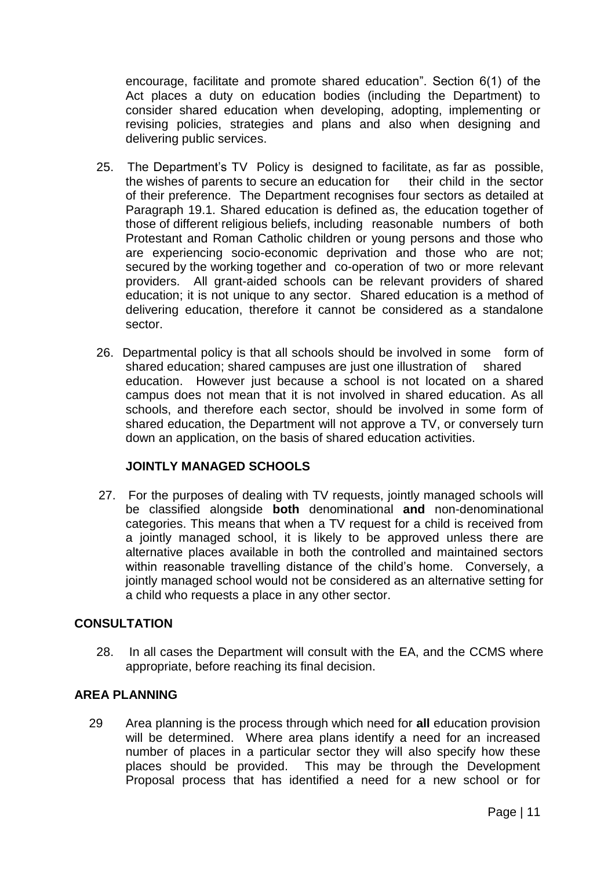encourage, facilitate and promote shared education". Section 6(1) of the Act places a duty on education bodies (including the Department) to consider shared education when developing, adopting, implementing or revising policies, strategies and plans and also when designing and delivering public services.

- 25. The Department's TV Policy is designed to facilitate, as far as possible, the wishes of parents to secure an education for their child in the sector of their preference. The Department recognises four sectors as detailed at Paragraph 19.1. Shared education is defined as, the education together of those of different religious beliefs, including reasonable numbers of both Protestant and Roman Catholic children or young persons and those who are experiencing socio-economic deprivation and those who are not; secured by the working together and co-operation of two or more relevant providers. All grant-aided schools can be relevant providers of shared education; it is not unique to any sector. Shared education is a method of delivering education, therefore it cannot be considered as a standalone sector.
- 26. Departmental policy is that all schools should be involved in some form of shared education; shared campuses are just one illustration of shared education. However just because a school is not located on a shared campus does not mean that it is not involved in shared education. As all schools, and therefore each sector, should be involved in some form of shared education, the Department will not approve a TV, or conversely turn down an application, on the basis of shared education activities.

# **JOINTLY MANAGED SCHOOLS**

 27. For the purposes of dealing with TV requests, jointly managed schools will be classified alongside **both** denominational **and** non-denominational categories. This means that when a TV request for a child is received from a jointly managed school, it is likely to be approved unless there are alternative places available in both the controlled and maintained sectors within reasonable travelling distance of the child's home. Conversely, a jointly managed school would not be considered as an alternative setting for a child who requests a place in any other sector.

#### **CONSULTATION**

28. In all cases the Department will consult with the EA, and the CCMS where appropriate, before reaching its final decision.

#### **AREA PLANNING**

29 Area planning is the process through which need for **all** education provision will be determined. Where area plans identify a need for an increased number of places in a particular sector they will also specify how these places should be provided. This may be through the Development Proposal process that has identified a need for a new school or for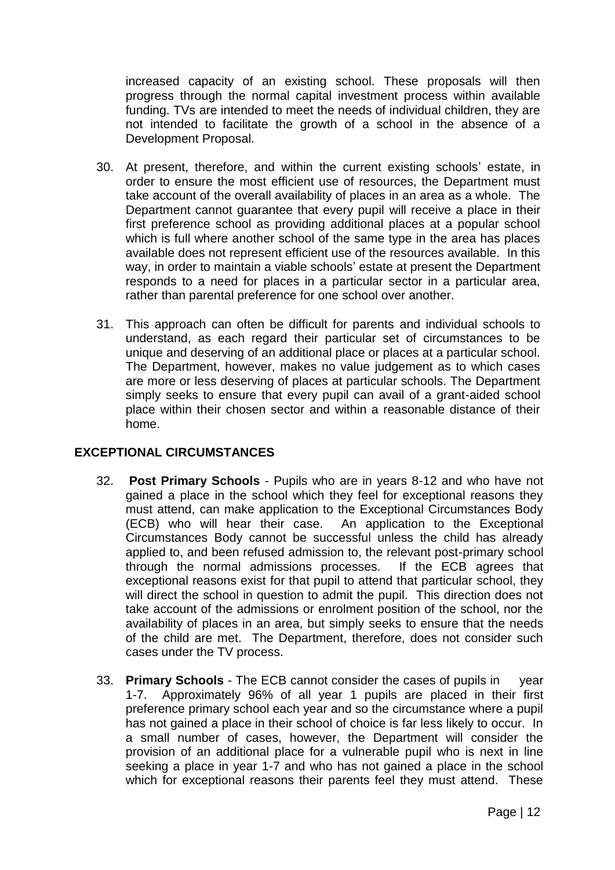increased capacity of an existing school. These proposals will then progress through the normal capital investment process within available funding. TVs are intended to meet the needs of individual children, they are not intended to facilitate the growth of a school in the absence of a Development Proposal.

- 30. At present, therefore, and within the current existing schools' estate, in order to ensure the most efficient use of resources, the Department must take account of the overall availability of places in an area as a whole. The Department cannot quarantee that every pupil will receive a place in their first preference school as providing additional places at a popular school which is full where another school of the same type in the area has places available does not represent efficient use of the resources available. In this way, in order to maintain a viable schools' estate at present the Department responds to a need for places in a particular sector in a particular area, rather than parental preference for one school over another.
- 31. This approach can often be difficult for parents and individual schools to understand, as each regard their particular set of circumstances to be unique and deserving of an additional place or places at a particular school. The Department, however, makes no value judgement as to which cases are more or less deserving of places at particular schools. The Department simply seeks to ensure that every pupil can avail of a grant-aided school place within their chosen sector and within a reasonable distance of their home.

# **EXCEPTIONAL CIRCUMSTANCES**

- 32. **Post Primary Schools** Pupils who are in years 8-12 and who have not gained a place in the school which they feel for exceptional reasons they must attend, can make application to the Exceptional Circumstances Body (ECB) who will hear their case. An application to the Exceptional Circumstances Body cannot be successful unless the child has already applied to, and been refused admission to, the relevant post-primary school through the normal admissions processes. If the ECB agrees that exceptional reasons exist for that pupil to attend that particular school, they will direct the school in question to admit the pupil. This direction does not take account of the admissions or enrolment position of the school, nor the availability of places in an area, but simply seeks to ensure that the needs of the child are met. The Department, therefore, does not consider such cases under the TV process.
- 33. **Primary Schools** The ECB cannot consider the cases of pupils in year 1-7. Approximately 96% of all year 1 pupils are placed in their first preference primary school each year and so the circumstance where a pupil has not gained a place in their school of choice is far less likely to occur. In a small number of cases, however, the Department will consider the provision of an additional place for a vulnerable pupil who is next in line seeking a place in year 1-7 and who has not gained a place in the school which for exceptional reasons their parents feel they must attend. These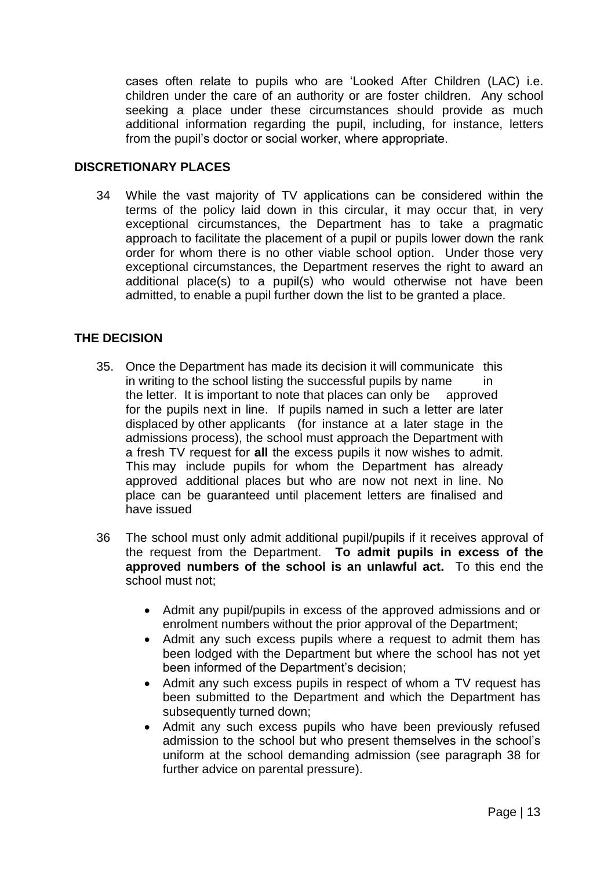cases often relate to pupils who are 'Looked After Children (LAC) i.e. children under the care of an authority or are foster children. Any school seeking a place under these circumstances should provide as much additional information regarding the pupil, including, for instance, letters from the pupil's doctor or social worker, where appropriate.

#### **DISCRETIONARY PLACES**

34 While the vast majority of TV applications can be considered within the terms of the policy laid down in this circular, it may occur that, in very exceptional circumstances, the Department has to take a pragmatic approach to facilitate the placement of a pupil or pupils lower down the rank order for whom there is no other viable school option. Under those very exceptional circumstances, the Department reserves the right to award an additional place(s) to a pupil(s) who would otherwise not have been admitted, to enable a pupil further down the list to be granted a place.

#### **THE DECISION**

- 35. Once the Department has made its decision it will communicate this in writing to the school listing the successful pupils by name in the letter. It is important to note that places can only be approved for the pupils next in line. If pupils named in such a letter are later displaced by other applicants (for instance at a later stage in the admissions process), the school must approach the Department with a fresh TV request for **all** the excess pupils it now wishes to admit. This may include pupils for whom the Department has already approved additional places but who are now not next in line. No place can be guaranteed until placement letters are finalised and have issued
- 36 The school must only admit additional pupil/pupils if it receives approval of the request from the Department. **To admit pupils in excess of the approved numbers of the school is an unlawful act.** To this end the school must not;
	- Admit any pupil/pupils in excess of the approved admissions and or enrolment numbers without the prior approval of the Department;
	- Admit any such excess pupils where a request to admit them has been lodged with the Department but where the school has not yet been informed of the Department's decision;
	- Admit any such excess pupils in respect of whom a TV request has been submitted to the Department and which the Department has subsequently turned down;
	- Admit any such excess pupils who have been previously refused admission to the school but who present themselves in the school's uniform at the school demanding admission (see paragraph 38 for further advice on parental pressure).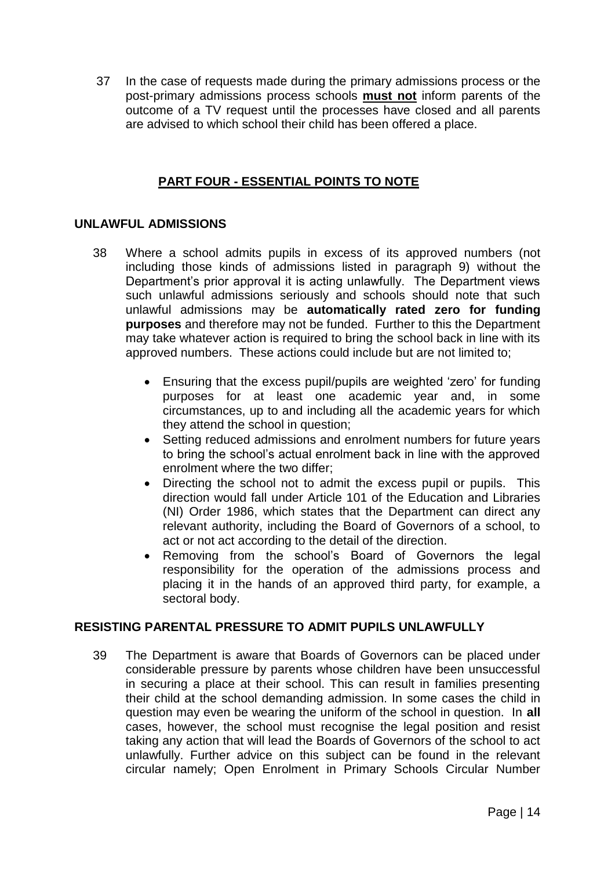37 In the case of requests made during the primary admissions process or the post-primary admissions process schools **must not** inform parents of the outcome of a TV request until the processes have closed and all parents are advised to which school their child has been offered a place.

#### **PART FOUR - ESSENTIAL POINTS TO NOTE**

#### **UNLAWFUL ADMISSIONS**

- 38 Where a school admits pupils in excess of its approved numbers (not including those kinds of admissions listed in paragraph 9) without the Department's prior approval it is acting unlawfully. The Department views such unlawful admissions seriously and schools should note that such unlawful admissions may be **automatically rated zero for funding purposes** and therefore may not be funded. Further to this the Department may take whatever action is required to bring the school back in line with its approved numbers. These actions could include but are not limited to;
	- Ensuring that the excess pupil/pupils are weighted 'zero' for funding purposes for at least one academic year and, in some circumstances, up to and including all the academic years for which they attend the school in question;
	- Setting reduced admissions and enrolment numbers for future years to bring the school's actual enrolment back in line with the approved enrolment where the two differ;
	- Directing the school not to admit the excess pupil or pupils. This direction would fall under Article 101 of the Education and Libraries (NI) Order 1986, which states that the Department can direct any relevant authority, including the Board of Governors of a school, to act or not act according to the detail of the direction.
	- Removing from the school's Board of Governors the legal responsibility for the operation of the admissions process and placing it in the hands of an approved third party, for example, a sectoral body.

#### **RESISTING PARENTAL PRESSURE TO ADMIT PUPILS UNLAWFULLY**

39 The Department is aware that Boards of Governors can be placed under considerable pressure by parents whose children have been unsuccessful in securing a place at their school. This can result in families presenting their child at the school demanding admission. In some cases the child in question may even be wearing the uniform of the school in question. In **all** cases, however, the school must recognise the legal position and resist taking any action that will lead the Boards of Governors of the school to act unlawfully. Further advice on this subject can be found in the relevant circular namely; Open Enrolment in Primary Schools Circular Number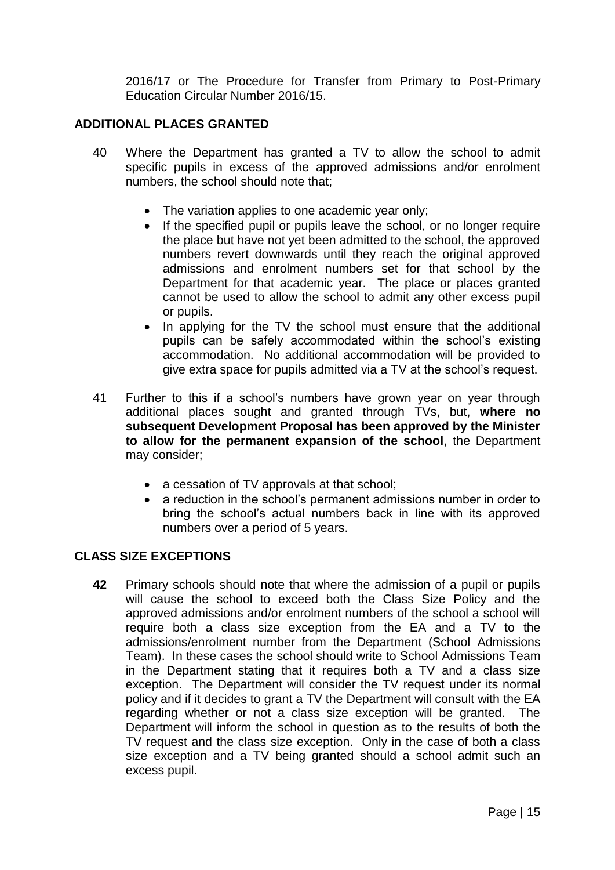2016/17 or The Procedure for Transfer from Primary to Post-Primary Education Circular Number 2016/15.

#### **ADDITIONAL PLACES GRANTED**

- 40 Where the Department has granted a TV to allow the school to admit specific pupils in excess of the approved admissions and/or enrolment numbers, the school should note that;
	- The variation applies to one academic year only;
	- If the specified pupil or pupils leave the school, or no longer require the place but have not yet been admitted to the school, the approved numbers revert downwards until they reach the original approved admissions and enrolment numbers set for that school by the Department for that academic year. The place or places granted cannot be used to allow the school to admit any other excess pupil or pupils.
	- In applying for the TV the school must ensure that the additional pupils can be safely accommodated within the school's existing accommodation. No additional accommodation will be provided to give extra space for pupils admitted via a TV at the school's request.
- 41 Further to this if a school's numbers have grown year on year through additional places sought and granted through TVs, but, **where no subsequent Development Proposal has been approved by the Minister to allow for the permanent expansion of the school**, the Department may consider;
	- a cessation of TV approvals at that school;
	- a reduction in the school's permanent admissions number in order to bring the school's actual numbers back in line with its approved numbers over a period of 5 years.

#### **CLASS SIZE EXCEPTIONS**

**42** Primary schools should note that where the admission of a pupil or pupils will cause the school to exceed both the Class Size Policy and the approved admissions and/or enrolment numbers of the school a school will require both a class size exception from the EA and a TV to the admissions/enrolment number from the Department (School Admissions Team). In these cases the school should write to School Admissions Team in the Department stating that it requires both a TV and a class size exception. The Department will consider the TV request under its normal policy and if it decides to grant a TV the Department will consult with the EA regarding whether or not a class size exception will be granted. The Department will inform the school in question as to the results of both the TV request and the class size exception. Only in the case of both a class size exception and a TV being granted should a school admit such an excess pupil.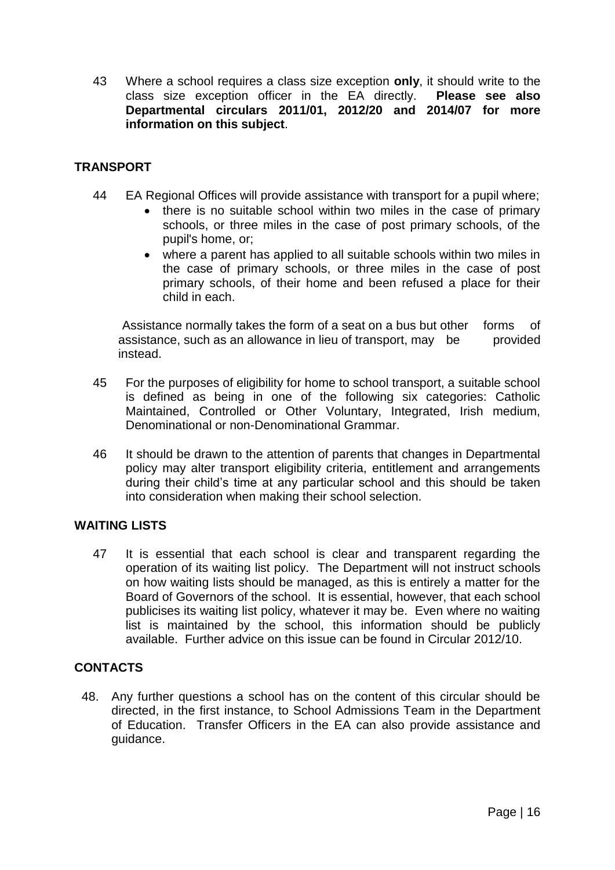43 Where a school requires a class size exception **only**, it should write to the class size exception officer in the EA directly. **Please see also Departmental circulars 2011/01, 2012/20 and 2014/07 for more information on this subject**.

#### **TRANSPORT**

- 44 EA Regional Offices will provide assistance with transport for a pupil where;
	- there is no suitable school within two miles in the case of primary schools, or three miles in the case of post primary schools, of the pupil's home, or;
	- where a parent has applied to all suitable schools within two miles in the case of primary schools, or three miles in the case of post primary schools, of their home and been refused a place for their child in each.

Assistance normally takes the form of a seat on a bus but other forms of assistance, such as an allowance in lieu of transport, may be provided instead.

- 45 For the purposes of eligibility for home to school transport, a suitable school is defined as being in one of the following six categories: Catholic Maintained, Controlled or Other Voluntary, Integrated, Irish medium, Denominational or non-Denominational Grammar.
- 46 It should be drawn to the attention of parents that changes in Departmental policy may alter transport eligibility criteria, entitlement and arrangements during their child's time at any particular school and this should be taken into consideration when making their school selection.

#### **WAITING LISTS**

47 It is essential that each school is clear and transparent regarding the operation of its waiting list policy. The Department will not instruct schools on how waiting lists should be managed, as this is entirely a matter for the Board of Governors of the school. It is essential, however, that each school publicises its waiting list policy, whatever it may be. Even where no waiting list is maintained by the school, this information should be publicly available. Further advice on this issue can be found in Circular 2012/10.

# **CONTACTS**

48. Any further questions a school has on the content of this circular should be directed, in the first instance, to School Admissions Team in the Department of Education. Transfer Officers in the EA can also provide assistance and guidance.